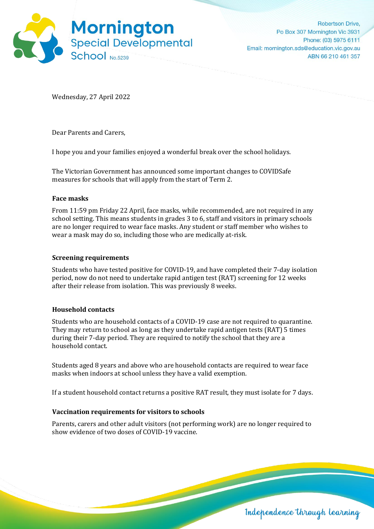

Wednesday, 27 April 2022

Dear Parents and Carers,

I hope you and your families enjoyed a wonderful break over the school holidays.

The Victorian Government has announced some important changes to COVIDSafe measures for schools that will apply from the start of Term 2.

# **Face masks**

From 11:59 pm Friday 22 April, face masks, while recommended, are not required in any school setting. This means students in grades 3 to 6, staff and visitors in primary schools are no longer required to wear face masks. Any student or staff member who wishes to wear a mask may do so, including those who are medically at-risk.

# **Screening requirements**

Students who have tested positive for COVID-19, and have completed their 7-day isolation period, now do not need to undertake rapid antigen test (RAT) screening for 12 weeks after their release from isolation. This was previously 8 weeks.

### **Household contacts**

Students who are household contacts of a COVID-19 case are not required to quarantine. They may return to school as long as they undertake rapid antigen tests (RAT) 5 times during their 7-day period. They are required to notify the school that they are a household contact.

Students aged 8 years and above who are household contacts are required to wear face masks when indoors at school unless they have a valid exemption.

If a student household contact returns a positive RAT result, they must isolate for 7 days.

# **Vaccination requirements for visitors to schools**

Parents, carers and other adult visitors (not performing work) are no longer required to show evidence of two doses of COVID-19 vaccine.

Independence through learning